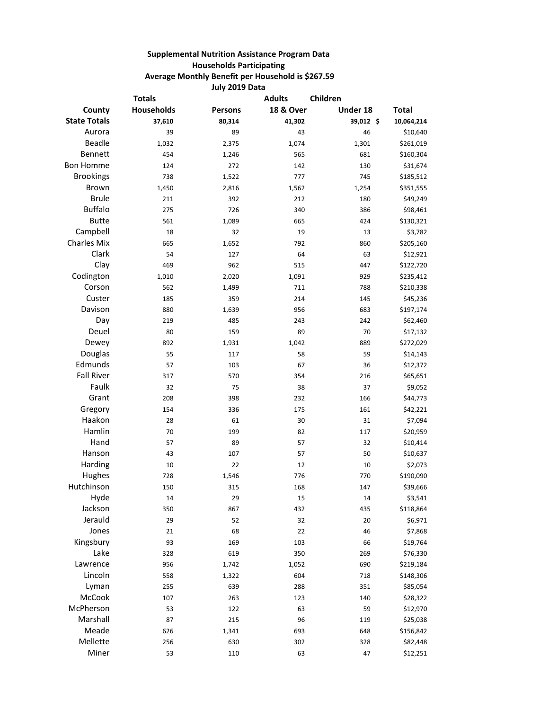## **Supplemental Nutrition Assistance Program Data Households Participating Average Monthly Benefit per Household is \$267.59 July 2019 Data**

| <b>Totals</b>       |            | <b>Adults</b> | Children  |           |              |
|---------------------|------------|---------------|-----------|-----------|--------------|
| County              | Households | Persons       | 18 & Over | Under 18  | <b>Total</b> |
| <b>State Totals</b> | 37,610     | 80,314        | 41,302    | 39,012 \$ | 10,064,214   |
| Aurora              | 39         | 89            | 43        | 46        | \$10,640     |
| Beadle              | 1,032      | 2,375         | 1,074     | 1,301     | \$261,019    |
| Bennett             | 454        | 1,246         | 565       | 681       | \$160,304    |
| <b>Bon Homme</b>    | 124        | 272           | 142       | 130       | \$31,674     |
| <b>Brookings</b>    | 738        | 1,522         | 777       | 745       | \$185,512    |
| <b>Brown</b>        | 1,450      | 2,816         | 1,562     | 1,254     | \$351,555    |
| <b>Brule</b>        | 211        | 392           | 212       | 180       | \$49,249     |
| <b>Buffalo</b>      | 275        | 726           | 340       | 386       | \$98,461     |
| <b>Butte</b>        | 561        | 1,089         | 665       | 424       | \$130,321    |
| Campbell            | 18         | 32            | 19        | 13        | \$3,782      |
| <b>Charles Mix</b>  | 665        | 1,652         | 792       | 860       | \$205,160    |
| Clark               | 54         | 127           | 64        | 63        | \$12,921     |
| Clay                | 469        | 962           | 515       | 447       | \$122,720    |
| Codington           | 1,010      | 2,020         | 1,091     | 929       | \$235,412    |
| Corson              | 562        | 1,499         | 711       | 788       | \$210,338    |
| Custer              | 185        | 359           | 214       | 145       | \$45,236     |
| Davison             | 880        | 1,639         | 956       | 683       | \$197,174    |
| Day                 | 219        | 485           | 243       | 242       | \$62,460     |
| Deuel               | 80         | 159           | 89        | 70        | \$17,132     |
| Dewey               | 892        | 1,931         | 1,042     | 889       | \$272,029    |
| Douglas             | 55         | 117           | 58        | 59        | \$14,143     |
| Edmunds             | 57         | 103           | 67        | 36        | \$12,372     |
| <b>Fall River</b>   | 317        | 570           | 354       | 216       | \$65,651     |
| Faulk               | 32         | 75            | 38        | 37        | \$9,052      |
| Grant               | 208        | 398           | 232       | 166       | \$44,773     |
| Gregory             | 154        | 336           | 175       | 161       | \$42,221     |
| Haakon              | 28         | 61            | 30        | 31        | \$7,094      |
| Hamlin              | 70         | 199           | 82        | 117       | \$20,959     |
| Hand                | 57         | 89            | 57        | 32        | \$10,414     |
| Hanson              | 43         | 107           | 57        | 50        | \$10,637     |
| Harding             | 10         | 22            | 12        | 10        | \$2,073      |
| Hughes              | 728        | 1,546         | 776       | 770       | \$190,090    |
| Hutchinson          | 150        | 315           | 168       | 147       | \$39,666     |
| Hyde                | 14         | 29            | 15        | 14        | \$3,541      |
| Jackson             | 350        | 867           | 432       | 435       | \$118,864    |
| Jerauld             | 29         | 52            | 32        | 20        | \$6,971      |
| Jones               | 21         | 68            | 22        | 46        | \$7,868      |
| Kingsbury           | 93         | 169           | 103       | 66        | \$19,764     |
| Lake                | 328        | 619           | 350       | 269       | \$76,330     |
| Lawrence            | 956        | 1,742         | 1,052     | 690       | \$219,184    |
| Lincoln             | 558        | 1,322         | 604       | 718       | \$148,306    |
| Lyman               | 255        | 639           | 288       | 351       | \$85,054     |
| McCook              | 107        | 263           | 123       | 140       | \$28,322     |
| McPherson           | 53         | 122           | 63        | 59        | \$12,970     |
| Marshall            | 87         | 215           | 96        | 119       | \$25,038     |
| Meade               | 626        | 1,341         | 693       | 648       | \$156,842    |
| Mellette            | 256        | 630           | 302       | 328       | \$82,448     |
| Miner               | 53         | 110           | 63        | 47        | \$12,251     |